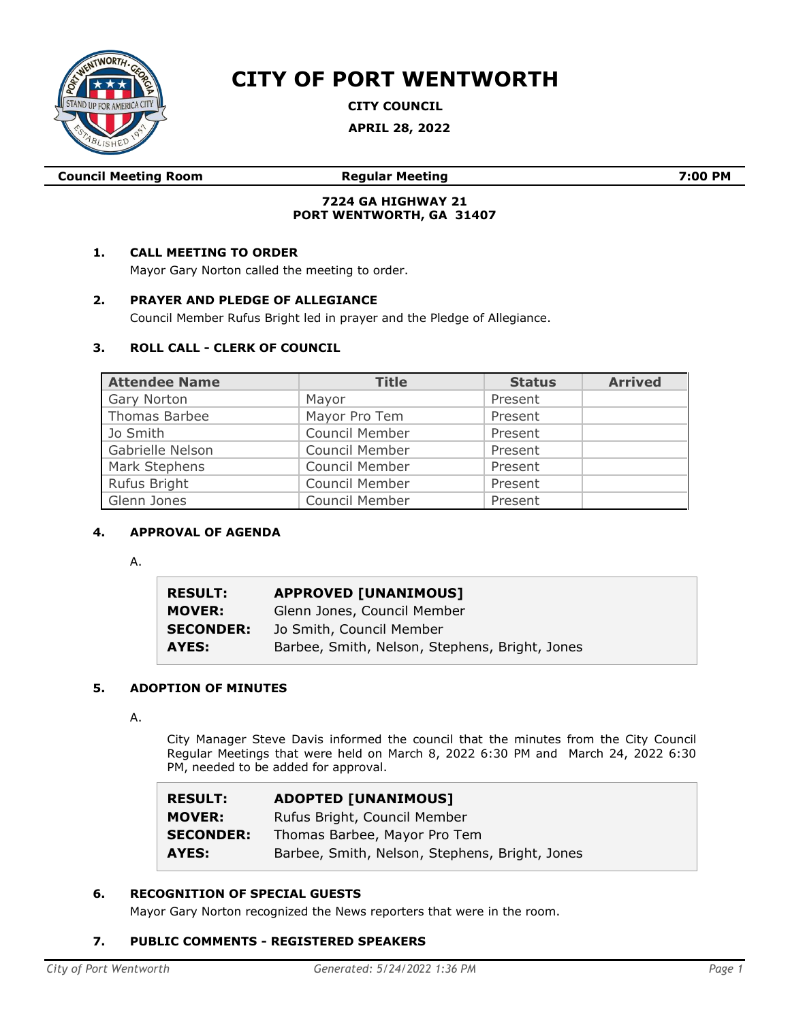

# **CITY OF PORT WENTWORTH**

**CITY COUNCIL**

**APRIL 28, 2022**

**Council Meeting Room Regular Meeting 7:00 PM**

# **7224 GA HIGHWAY 21 PORT WENTWORTH, GA 31407**

# **1. CALL MEETING TO ORDER**

Mayor Gary Norton called the meeting to order.

# **2. PRAYER AND PLEDGE OF ALLEGIANCE**

Council Member Rufus Bright led in prayer and the Pledge of Allegiance.

# **3. ROLL CALL - CLERK OF COUNCIL**

| <b>Attendee Name</b> | <b>Title</b>   | <b>Status</b> | <b>Arrived</b> |
|----------------------|----------------|---------------|----------------|
| Gary Norton          | Mayor          | Present       |                |
| Thomas Barbee        | Mayor Pro Tem  | Present       |                |
| Jo Smith             | Council Member | Present       |                |
| Gabrielle Nelson     | Council Member | Present       |                |
| Mark Stephens        | Council Member | Present       |                |
| Rufus Bright         | Council Member | Present       |                |
| Glenn Jones          | Council Member | Present       |                |

# **4. APPROVAL OF AGENDA**

A.

| <b>RESULT:</b>   | <b>APPROVED [UNANIMOUS]</b>                    |
|------------------|------------------------------------------------|
| <b>MOVER:</b>    | Glenn Jones, Council Member                    |
| <b>SECONDER:</b> | Jo Smith, Council Member                       |
| AYES:            | Barbee, Smith, Nelson, Stephens, Bright, Jones |

# **5. ADOPTION OF MINUTES**

A.

City Manager Steve Davis informed the council that the minutes from the City Council Regular Meetings that were held on March 8, 2022 6:30 PM and March 24, 2022 6:30 PM, needed to be added for approval.

| <b>RESULT:</b>                    | <b>ADOPTED [UNANIMOUS]</b>                                   |
|-----------------------------------|--------------------------------------------------------------|
| <b>MOVER:</b><br><b>SECONDER:</b> | Rufus Bright, Council Member<br>Thomas Barbee, Mayor Pro Tem |
| AYES:                             | Barbee, Smith, Nelson, Stephens, Bright, Jones               |

# **6. RECOGNITION OF SPECIAL GUESTS**

Mayor Gary Norton recognized the News reporters that were in the room.

# **7. PUBLIC COMMENTS - REGISTERED SPEAKERS**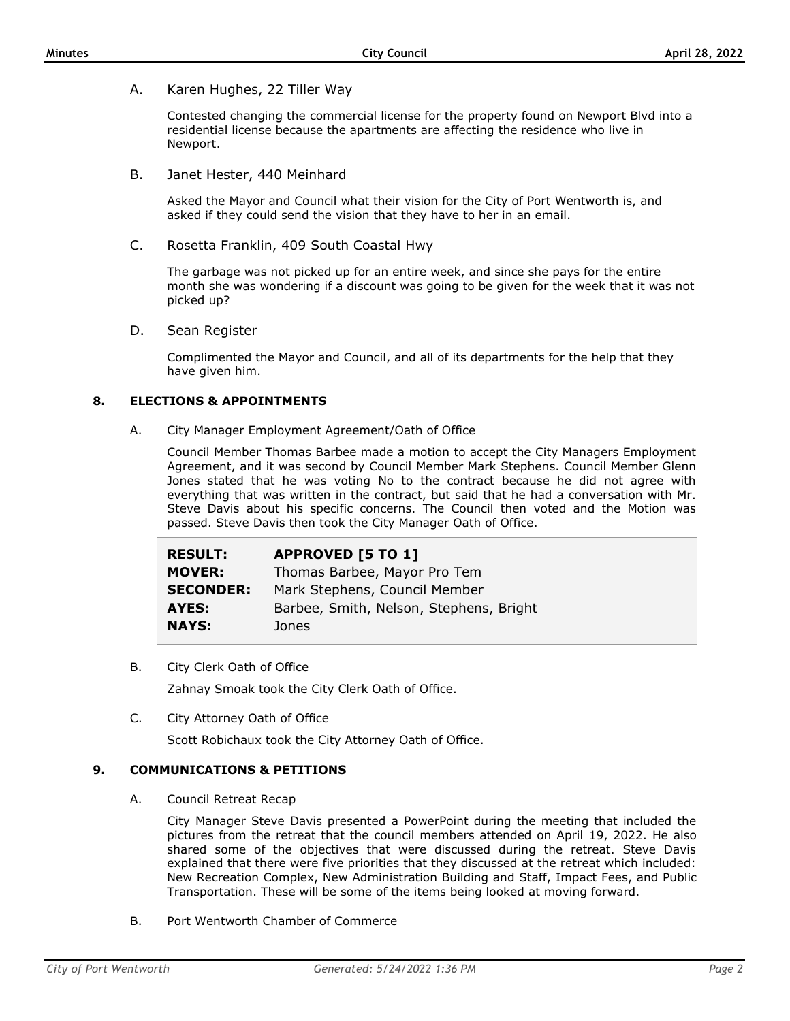A. Karen Hughes, 22 Tiller Way

Contested changing the commercial license for the property found on Newport Blvd into a residential license because the apartments are affecting the residence who live in Newport.

B. Janet Hester, 440 Meinhard

Asked the Mayor and Council what their vision for the City of Port Wentworth is, and asked if they could send the vision that they have to her in an email.

C. Rosetta Franklin, 409 South Coastal Hwy

The garbage was not picked up for an entire week, and since she pays for the entire month she was wondering if a discount was going to be given for the week that it was not picked up?

D. Sean Register

Complimented the Mayor and Council, and all of its departments for the help that they have given him.

# **8. ELECTIONS & APPOINTMENTS**

A. City Manager Employment Agreement/Oath of Office

Council Member Thomas Barbee made a motion to accept the City Managers Employment Agreement, and it was second by Council Member Mark Stephens. Council Member Glenn Jones stated that he was voting No to the contract because he did not agree with everything that was written in the contract, but said that he had a conversation with Mr. Steve Davis about his specific concerns. The Council then voted and the Motion was passed. Steve Davis then took the City Manager Oath of Office.

| <b>RESULT:</b>   | <b>APPROVED [5 TO 1]</b>                |
|------------------|-----------------------------------------|
| <b>MOVER:</b>    | Thomas Barbee, Mayor Pro Tem            |
| <b>SECONDER:</b> | Mark Stephens, Council Member           |
| AYES:            | Barbee, Smith, Nelson, Stephens, Bright |
| <b>NAYS:</b>     | Jones                                   |

B. City Clerk Oath of Office

Zahnay Smoak took the City Clerk Oath of Office.

C. City Attorney Oath of Office

Scott Robichaux took the City Attorney Oath of Office.

# **9. COMMUNICATIONS & PETITIONS**

A. Council Retreat Recap

City Manager Steve Davis presented a PowerPoint during the meeting that included the pictures from the retreat that the council members attended on April 19, 2022. He also shared some of the objectives that were discussed during the retreat. Steve Davis explained that there were five priorities that they discussed at the retreat which included: New Recreation Complex, New Administration Building and Staff, Impact Fees, and Public Transportation. These will be some of the items being looked at moving forward.

B. Port Wentworth Chamber of Commerce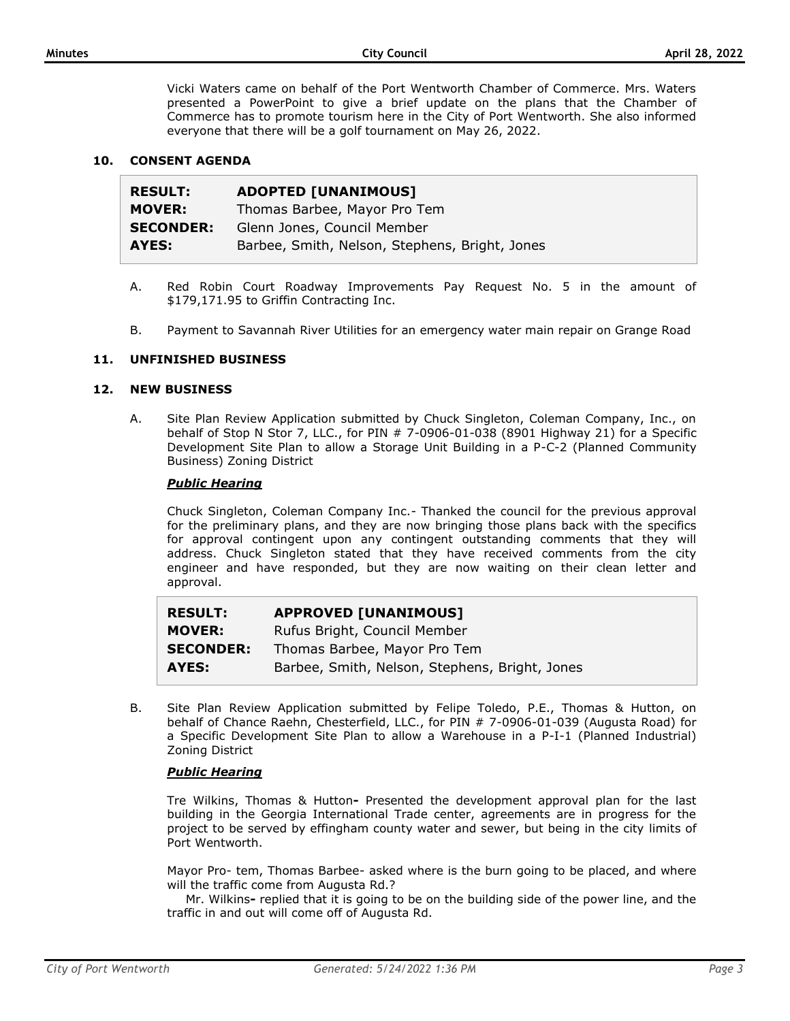Vicki Waters came on behalf of the Port Wentworth Chamber of Commerce. Mrs. Waters presented a PowerPoint to give a brief update on the plans that the Chamber of Commerce has to promote tourism here in the City of Port Wentworth. She also informed everyone that there will be a golf tournament on May 26, 2022.

# **10. CONSENT AGENDA**

| <b>RESULT:</b>   | <b>ADOPTED [UNANIMOUS]</b>                     |
|------------------|------------------------------------------------|
| <b>MOVER:</b>    | Thomas Barbee, Mayor Pro Tem                   |
| <b>SECONDER:</b> | Glenn Jones, Council Member                    |
| AYES:            | Barbee, Smith, Nelson, Stephens, Bright, Jones |

- A. Red Robin Court Roadway Improvements Pay Request No. 5 in the amount of \$179,171.95 to Griffin Contracting Inc.
- B. Payment to Savannah River Utilities for an emergency water main repair on Grange Road

#### **11. UNFINISHED BUSINESS**

#### **12. NEW BUSINESS**

A. Site Plan Review Application submitted by Chuck Singleton, Coleman Company, Inc., on behalf of Stop N Stor 7, LLC., for PIN # 7-0906-01-038 (8901 Highway 21) for a Specific Development Site Plan to allow a Storage Unit Building in a P-C-2 (Planned Community Business) Zoning District

#### *Public Hearing*

Chuck Singleton, Coleman Company Inc.- Thanked the council for the previous approval for the preliminary plans, and they are now bringing those plans back with the specifics for approval contingent upon any contingent outstanding comments that they will address. Chuck Singleton stated that they have received comments from the city engineer and have responded, but they are now waiting on their clean letter and approval.

| <b>RESULT:</b>   | <b>APPROVED [UNANIMOUS]</b>                    |
|------------------|------------------------------------------------|
| <b>MOVER:</b>    | Rufus Bright, Council Member                   |
| <b>SECONDER:</b> | Thomas Barbee, Mayor Pro Tem                   |
| AYES:            | Barbee, Smith, Nelson, Stephens, Bright, Jones |

B. Site Plan Review Application submitted by Felipe Toledo, P.E., Thomas & Hutton, on behalf of Chance Raehn, Chesterfield, LLC., for PIN # 7-0906-01-039 (Augusta Road) for a Specific Development Site Plan to allow a Warehouse in a P-I-1 (Planned Industrial) Zoning District

# *Public Hearing*

Tre Wilkins, Thomas & Hutton**-** Presented the development approval plan for the last building in the Georgia International Trade center, agreements are in progress for the project to be served by effingham county water and sewer, but being in the city limits of Port Wentworth.

Mayor Pro- tem, Thomas Barbee- asked where is the burn going to be placed, and where will the traffic come from Augusta Rd.?

Mr. Wilkins**-** replied that it is going to be on the building side of the power line, and the traffic in and out will come off of Augusta Rd.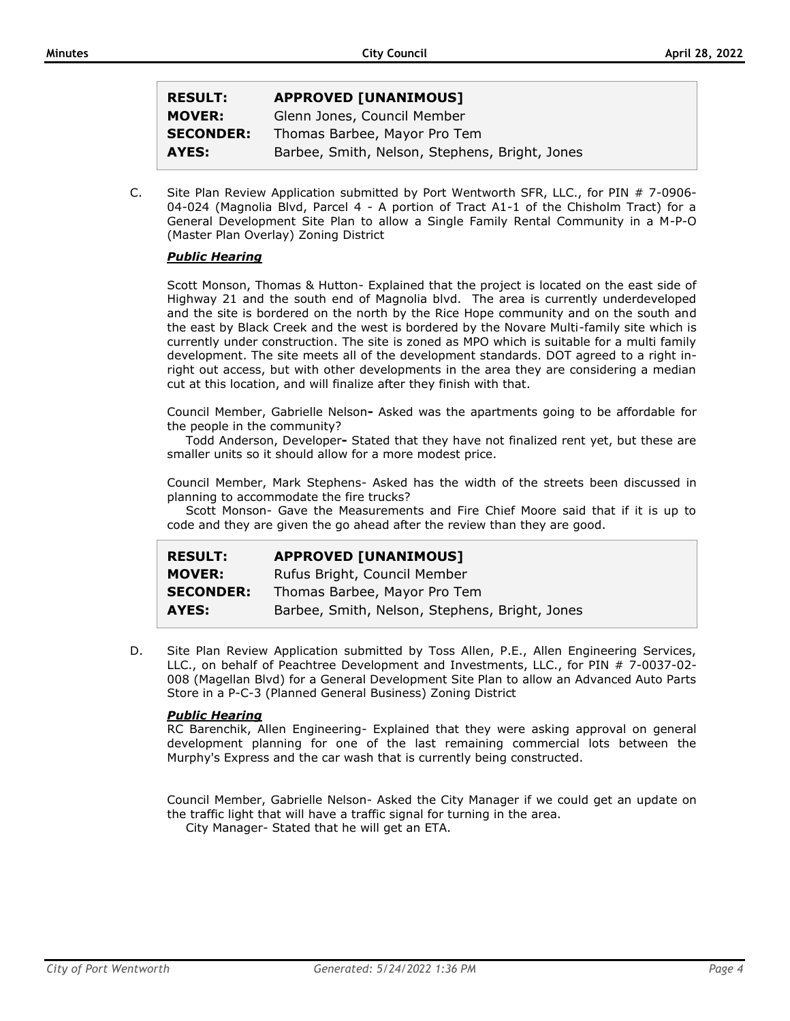| <b>RESULT:</b>   | <b>APPROVED [UNANIMOUS]</b>                    |
|------------------|------------------------------------------------|
| <b>MOVER:</b>    | Glenn Jones, Council Member                    |
| <b>SECONDER:</b> | Thomas Barbee, Mayor Pro Tem                   |
| AYES:            | Barbee, Smith, Nelson, Stephens, Bright, Jones |

C. Site Plan Review Application submitted by Port Wentworth SFR, LLC., for PIN # 7-0906- 04-024 (Magnolia Blvd, Parcel 4 - A portion of Tract A1-1 of the Chisholm Tract) for a General Development Site Plan to allow a Single Family Rental Community in a M-P-O (Master Plan Overlay) Zoning District

#### *Public Hearing*

Scott Monson, Thomas & Hutton- Explained that the project is located on the east side of Highway 21 and the south end of Magnolia blvd. The area is currently underdeveloped and the site is bordered on the north by the Rice Hope community and on the south and the east by Black Creek and the west is bordered by the Novare Multi-family site which is currently under construction. The site is zoned as MPO which is suitable for a multi family development. The site meets all of the development standards. DOT agreed to a right inright out access, but with other developments in the area they are considering a median cut at this location, and will finalize after they finish with that.

Council Member, Gabrielle Nelson**-** Asked was the apartments going to be affordable for the people in the community?

Todd Anderson, Developer**-** Stated that they have not finalized rent yet, but these are smaller units so it should allow for a more modest price.

Council Member, Mark Stephens- Asked has the width of the streets been discussed in planning to accommodate the fire trucks?

Scott Monson- Gave the Measurements and Fire Chief Moore said that if it is up to code and they are given the go ahead after the review than they are good.

| <b>RESULT:</b>   | <b>APPROVED [UNANIMOUS]</b>                    |
|------------------|------------------------------------------------|
| <b>MOVER:</b>    | Rufus Bright, Council Member                   |
| <b>SECONDER:</b> | Thomas Barbee, Mayor Pro Tem                   |
| AYES:            | Barbee, Smith, Nelson, Stephens, Bright, Jones |

D. Site Plan Review Application submitted by Toss Allen, P.E., Allen Engineering Services, LLC., on behalf of Peachtree Development and Investments, LLC., for PIN # 7-0037-02- 008 (Magellan Blvd) for a General Development Site Plan to allow an Advanced Auto Parts Store in a P-C-3 (Planned General Business) Zoning District

# *Public Hearing*

RC Barenchik, Allen Engineering- Explained that they were asking approval on general development planning for one of the last remaining commercial lots between the Murphy's Express and the car wash that is currently being constructed.

Council Member, Gabrielle Nelson- Asked the City Manager if we could get an update on the traffic light that will have a traffic signal for turning in the area.

City Manager- Stated that he will get an ETA.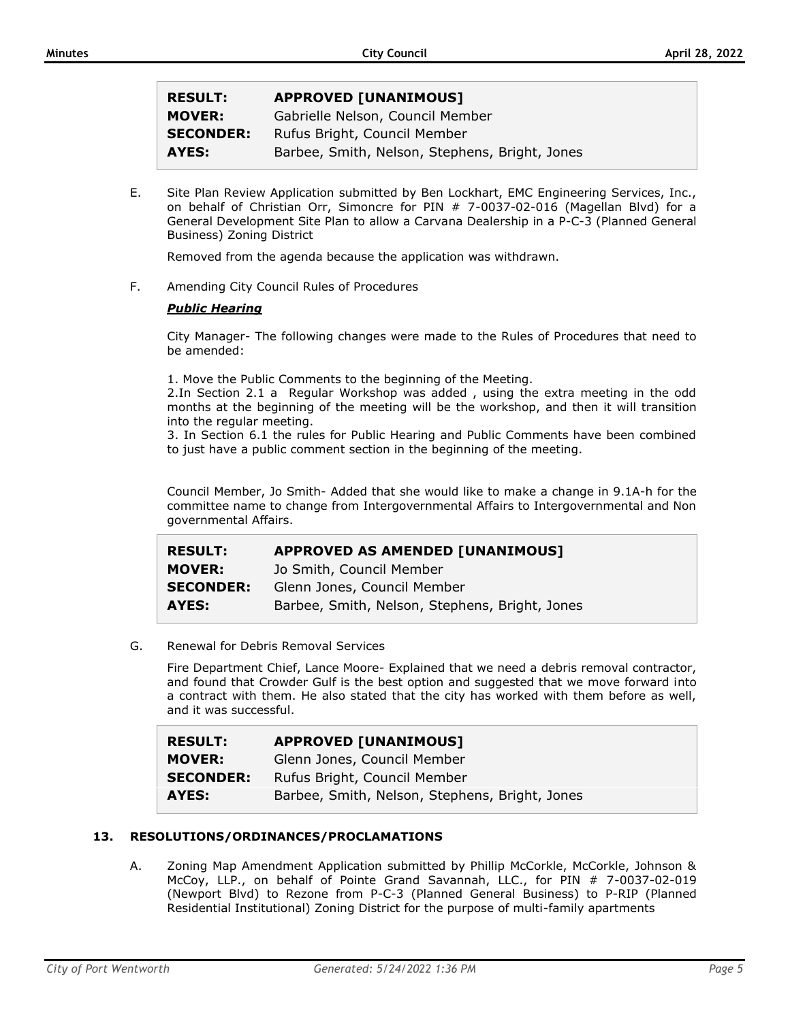| <b>RESULT:</b>   | <b>APPROVED [UNANIMOUS]</b>                    |
|------------------|------------------------------------------------|
| <b>MOVER:</b>    | Gabrielle Nelson, Council Member               |
| <b>SECONDER:</b> | Rufus Bright, Council Member                   |
| AYES:            | Barbee, Smith, Nelson, Stephens, Bright, Jones |

E. Site Plan Review Application submitted by Ben Lockhart, EMC Engineering Services, Inc., on behalf of Christian Orr, Simoncre for PIN # 7-0037-02-016 (Magellan Blvd) for a General Development Site Plan to allow a Carvana Dealership in a P-C-3 (Planned General Business) Zoning District

Removed from the agenda because the application was withdrawn.

F. Amending City Council Rules of Procedures

# *Public Hearing*

City Manager- The following changes were made to the Rules of Procedures that need to be amended:

1. Move the Public Comments to the beginning of the Meeting.

2.In Section 2.1 a Regular Workshop was added , using the extra meeting in the odd months at the beginning of the meeting will be the workshop, and then it will transition into the regular meeting.

3. In Section 6.1 the rules for Public Hearing and Public Comments have been combined to just have a public comment section in the beginning of the meeting.

Council Member, Jo Smith- Added that she would like to make a change in 9.1A-h for the committee name to change from Intergovernmental Affairs to Intergovernmental and Non governmental Affairs.

| <b>RESULT:</b>   | <b>APPROVED AS AMENDED [UNANIMOUS]</b>         |
|------------------|------------------------------------------------|
| <b>MOVER:</b>    | Jo Smith, Council Member                       |
| <b>SECONDER:</b> | Glenn Jones, Council Member                    |
| AYES:            | Barbee, Smith, Nelson, Stephens, Bright, Jones |

G. Renewal for Debris Removal Services

Fire Department Chief, Lance Moore- Explained that we need a debris removal contractor, and found that Crowder Gulf is the best option and suggested that we move forward into a contract with them. He also stated that the city has worked with them before as well, and it was successful.

| <b>RESULT:</b>   | <b>APPROVED [UNANIMOUS]</b>                    |
|------------------|------------------------------------------------|
| <b>MOVER:</b>    | Glenn Jones, Council Member                    |
| <b>SECONDER:</b> | Rufus Bright, Council Member                   |
| AYES:            | Barbee, Smith, Nelson, Stephens, Bright, Jones |

# **13. RESOLUTIONS/ORDINANCES/PROCLAMATIONS**

A. Zoning Map Amendment Application submitted by Phillip McCorkle, McCorkle, Johnson & McCoy, LLP., on behalf of Pointe Grand Savannah, LLC., for PIN # 7-0037-02-019 (Newport Blvd) to Rezone from P-C-3 (Planned General Business) to P-RIP (Planned Residential Institutional) Zoning District for the purpose of multi-family apartments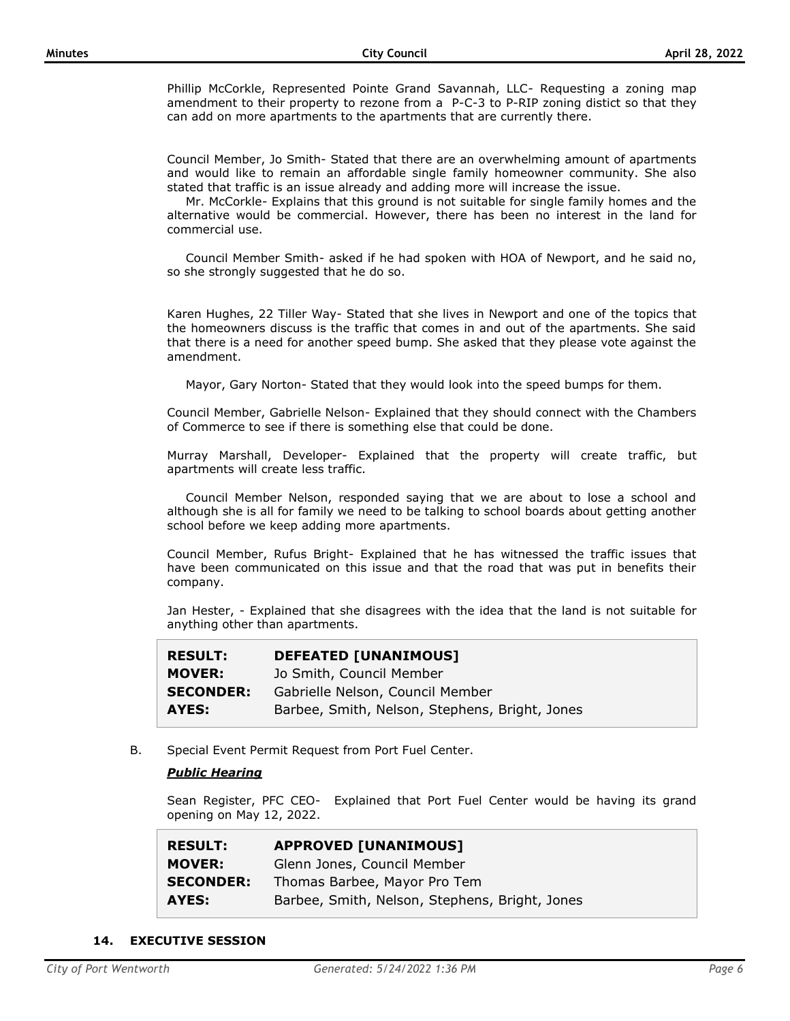Phillip McCorkle, Represented Pointe Grand Savannah, LLC- Requesting a zoning map amendment to their property to rezone from a P-C-3 to P-RIP zoning distict so that they can add on more apartments to the apartments that are currently there.

Council Member, Jo Smith- Stated that there are an overwhelming amount of apartments and would like to remain an affordable single family homeowner community. She also stated that traffic is an issue already and adding more will increase the issue.

Mr. McCorkle- Explains that this ground is not suitable for single family homes and the alternative would be commercial. However, there has been no interest in the land for commercial use.

Council Member Smith- asked if he had spoken with HOA of Newport, and he said no, so she strongly suggested that he do so.

Karen Hughes, 22 Tiller Way- Stated that she lives in Newport and one of the topics that the homeowners discuss is the traffic that comes in and out of the apartments. She said that there is a need for another speed bump. She asked that they please vote against the amendment.

Mayor, Gary Norton- Stated that they would look into the speed bumps for them.

Council Member, Gabrielle Nelson- Explained that they should connect with the Chambers of Commerce to see if there is something else that could be done.

Murray Marshall, Developer- Explained that the property will create traffic, but apartments will create less traffic.

Council Member Nelson, responded saying that we are about to lose a school and although she is all for family we need to be talking to school boards about getting another school before we keep adding more apartments.

Council Member, Rufus Bright- Explained that he has witnessed the traffic issues that have been communicated on this issue and that the road that was put in benefits their company.

Jan Hester, - Explained that she disagrees with the idea that the land is not suitable for anything other than apartments.

| <b>RESULT:</b>   | <b>DEFEATED [UNANIMOUS]</b>                    |
|------------------|------------------------------------------------|
| <b>MOVER:</b>    | Jo Smith, Council Member                       |
| <b>SECONDER:</b> | Gabrielle Nelson, Council Member               |
| AYES:            | Barbee, Smith, Nelson, Stephens, Bright, Jones |

B. Special Event Permit Request from Port Fuel Center.

# *Public Hearing*

Sean Register, PFC CEO- Explained that Port Fuel Center would be having its grand opening on May 12, 2022.

| <b>RESULT:</b>   | <b>APPROVED [UNANIMOUS]</b>                    |
|------------------|------------------------------------------------|
| <b>MOVER:</b>    | Glenn Jones, Council Member                    |
| <b>SECONDER:</b> | Thomas Barbee, Mayor Pro Tem                   |
| AYES:            | Barbee, Smith, Nelson, Stephens, Bright, Jones |

#### **14. EXECUTIVE SESSION**